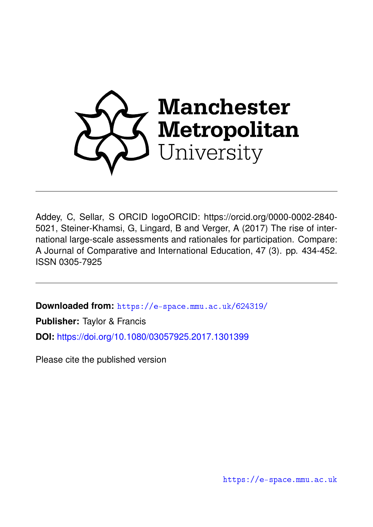

Addey, C, Sellar, S ORCID logoORCID: https://orcid.org/0000-0002-2840- 5021, Steiner-Khamsi, G, Lingard, B and Verger, A (2017) The rise of international large-scale assessments and rationales for participation. Compare: A Journal of Comparative and International Education, 47 (3). pp. 434-452. ISSN 0305-7925

**Downloaded from:** <https://e-space.mmu.ac.uk/624319/>

**Publisher:** Taylor & Francis

**DOI:** <https://doi.org/10.1080/03057925.2017.1301399>

Please cite the published version

<https://e-space.mmu.ac.uk>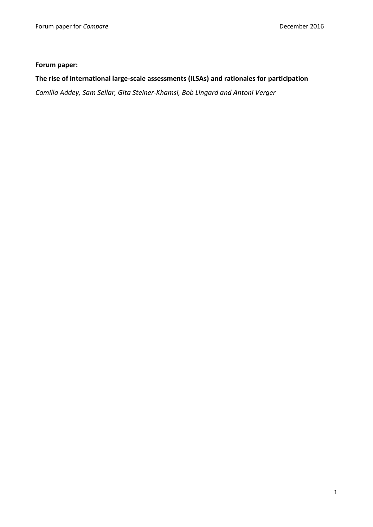# **Forum paper:**

# **The rise of international large-scale assessments (ILSAs) and rationales for participation**

*Camilla Addey, Sam Sellar, Gita Steiner-Khamsi, Bob Lingard and Antoni Verger*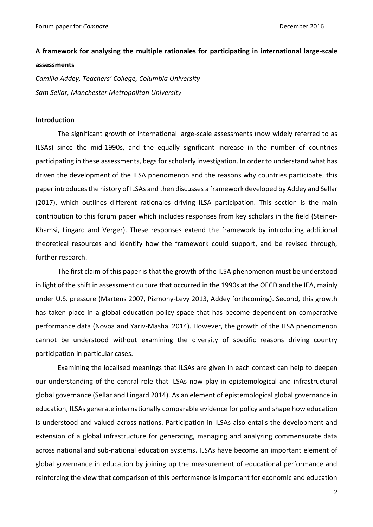# **A framework for analysing the multiple rationales for participating in international large-scale**

# **assessments**

*Camilla Addey, Teachers' College, Columbia University Sam Sellar, Manchester Metropolitan University*

# **Introduction**

The significant growth of international large-scale assessments (now widely referred to as ILSAs) since the mid-1990s, and the equally significant increase in the number of countries participating in these assessments, begs for scholarly investigation. In order to understand what has driven the development of the ILSA phenomenon and the reasons why countries participate, this paper introducesthe history of ILSAs and then discusses a framework developed by Addey and Sellar (2017), which outlines different rationales driving ILSA participation. This section is the main contribution to this forum paper which includes responses from key scholars in the field (Steiner-Khamsi, Lingard and Verger). These responses extend the framework by introducing additional theoretical resources and identify how the framework could support, and be revised through, further research.

The first claim of this paper is that the growth of the ILSA phenomenon must be understood in light of the shift in assessment culture that occurred in the 1990s at the OECD and the IEA, mainly under U.S. pressure (Martens 2007, Pizmony-Levy 2013, Addey forthcoming). Second, this growth has taken place in a global education policy space that has become dependent on comparative performance data (Novoa and Yariv-Mashal 2014). However, the growth of the ILSA phenomenon cannot be understood without examining the diversity of specific reasons driving country participation in particular cases.

Examining the localised meanings that ILSAs are given in each context can help to deepen our understanding of the central role that ILSAs now play in epistemological and infrastructural global governance (Sellar and Lingard 2014). As an element of epistemological global governance in education, ILSAs generate internationally comparable evidence for policy and shape how education is understood and valued across nations. Participation in ILSAs also entails the development and extension of a global infrastructure for generating, managing and analyzing commensurate data across national and sub-national education systems. ILSAs have become an important element of global governance in education by joining up the measurement of educational performance and reinforcing the view that comparison of this performance is important for economic and education

2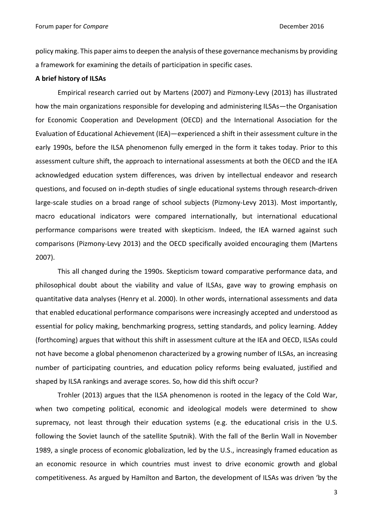policy making. This paper aims to deepen the analysis of these governance mechanisms by providing a framework for examining the details of participation in specific cases.

# **A brief history of ILSAs**

Empirical research carried out by Martens (2007) and Pizmony-Levy (2013) has illustrated how the main organizations responsible for developing and administering ILSAs—the Organisation for Economic Cooperation and Development (OECD) and the International Association for the Evaluation of Educational Achievement (IEA)—experienced a shift in their assessment culture in the early 1990s, before the ILSA phenomenon fully emerged in the form it takes today. Prior to this assessment culture shift, the approach to international assessments at both the OECD and the IEA acknowledged education system differences, was driven by intellectual endeavor and research questions, and focused on in-depth studies of single educational systems through research-driven large-scale studies on a broad range of school subjects (Pizmony-Levy 2013). Most importantly, macro educational indicators were compared internationally, but international educational performance comparisons were treated with skepticism. Indeed, the IEA warned against such comparisons (Pizmony-Levy 2013) and the OECD specifically avoided encouraging them (Martens 2007).

This all changed during the 1990s. Skepticism toward comparative performance data, and philosophical doubt about the viability and value of ILSAs, gave way to growing emphasis on quantitative data analyses (Henry et al. 2000). In other words, international assessments and data that enabled educational performance comparisons were increasingly accepted and understood as essential for policy making, benchmarking progress, setting standards, and policy learning. Addey (forthcoming) argues that without this shift in assessment culture at the IEA and OECD, ILSAs could not have become a global phenomenon characterized by a growing number of ILSAs, an increasing number of participating countries, and education policy reforms being evaluated, justified and shaped by ILSA rankings and average scores. So, how did this shift occur?

Trohler (2013) argues that the ILSA phenomenon is rooted in the legacy of the Cold War, when two competing political, economic and ideological models were determined to show supremacy, not least through their education systems (e.g. the educational crisis in the U.S. following the Soviet launch of the satellite Sputnik). With the fall of the Berlin Wall in November 1989, a single process of economic globalization, led by the U.S., increasingly framed education as an economic resource in which countries must invest to drive economic growth and global competitiveness. As argued by Hamilton and Barton, the development of ILSAs was driven 'by the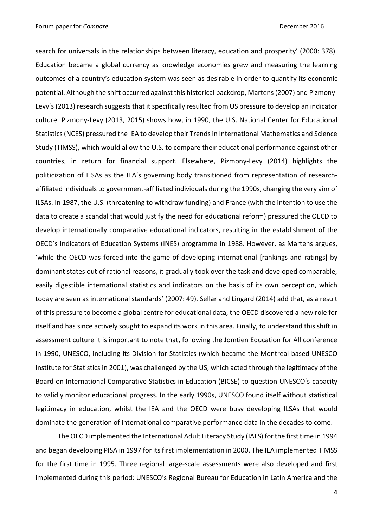Forum paper for *Compare* December 2016

search for universals in the relationships between literacy, education and prosperity' (2000: 378). Education became a global currency as knowledge economies grew and measuring the learning outcomes of a country's education system was seen as desirable in order to quantify its economic potential. Although the shift occurred against this historical backdrop, Martens (2007) and Pizmony-Levy's (2013) research suggests that it specifically resulted from US pressure to develop an indicator culture. Pizmony-Levy (2013, 2015) shows how, in 1990, the U.S. National Center for Educational Statistics (NCES) pressured the IEA to develop their Trends in International Mathematics and Science Study (TIMSS), which would allow the U.S. to compare their educational performance against other countries, in return for financial support. Elsewhere, Pizmony-Levy (2014) highlights the politicization of ILSAs as the IEA's governing body transitioned from representation of researchaffiliated individuals to government-affiliated individuals during the 1990s, changing the very aim of ILSAs. In 1987, the U.S. (threatening to withdraw funding) and France (with the intention to use the data to create a scandal that would justify the need for educational reform) pressured the OECD to develop internationally comparative educational indicators, resulting in the establishment of the OECD's Indicators of Education Systems (INES) programme in 1988. However, as Martens argues, 'while the OECD was forced into the game of developing international [rankings and ratings] by dominant states out of rational reasons, it gradually took over the task and developed comparable, easily digestible international statistics and indicators on the basis of its own perception, which today are seen as international standards' (2007: 49). Sellar and Lingard (2014) add that, as a result of this pressure to become a global centre for educational data, the OECD discovered a new role for itself and has since actively sought to expand its work in this area. Finally, to understand this shift in assessment culture it is important to note that, following the Jomtien Education for All conference in 1990, UNESCO, including its Division for Statistics (which became the Montreal-based UNESCO Institute for Statistics in 2001), was challenged by the US, which acted through the legitimacy of the Board on International Comparative Statistics in Education (BICSE) to question UNESCO's capacity to validly monitor educational progress. In the early 1990s, UNESCO found itself without statistical legitimacy in education, whilst the IEA and the OECD were busy developing ILSAs that would dominate the generation of international comparative performance data in the decades to come.

The OECD implemented the International Adult Literacy Study (IALS) for the first time in 1994 and began developing PISA in 1997 for its first implementation in 2000. The IEA implemented TIMSS for the first time in 1995. Three regional large-scale assessments were also developed and first implemented during this period: UNESCO's Regional Bureau for Education in Latin America and the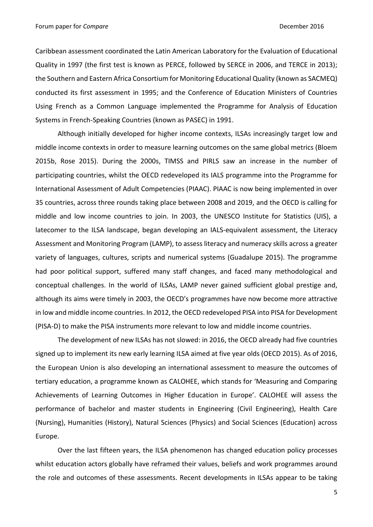Forum paper for *Compare* December 2016

Caribbean assessment coordinated the Latin American Laboratory for the Evaluation of Educational Quality in 1997 (the first test is known as PERCE, followed by SERCE in 2006, and TERCE in 2013); the Southern and Eastern Africa Consortium for Monitoring Educational Quality (known as SACMEQ) conducted its first assessment in 1995; and the Conference of Education Ministers of Countries Using French as a Common Language implemented the Programme for Analysis of Education Systems in French-Speaking Countries (known as PASEC) in 1991.

Although initially developed for higher income contexts, ILSAs increasingly target low and middle income contexts in order to measure learning outcomes on the same global metrics (Bloem 2015b, Rose 2015). During the 2000s, TIMSS and PIRLS saw an increase in the number of participating countries, whilst the OECD redeveloped its IALS programme into the Programme for International Assessment of Adult Competencies (PIAAC). PIAAC is now being implemented in over 35 countries, across three rounds taking place between 2008 and 2019, and the OECD is calling for middle and low income countries to join. In 2003, the UNESCO Institute for Statistics (UIS), a latecomer to the ILSA landscape, began developing an IALS-equivalent assessment, the Literacy Assessment and Monitoring Program (LAMP), to assess literacy and numeracy skills across a greater variety of languages, cultures, scripts and numerical systems (Guadalupe 2015). The programme had poor political support, suffered many staff changes, and faced many methodological and conceptual challenges. In the world of ILSAs, LAMP never gained sufficient global prestige and, although its aims were timely in 2003, the OECD's programmes have now become more attractive in low and middle income countries. In 2012, the OECD redeveloped PISA into PISA for Development (PISA-D) to make the PISA instruments more relevant to low and middle income countries.

The development of new ILSAs has not slowed: in 2016, the OECD already had five countries signed up to implement its new early learning ILSA aimed at five year olds (OECD 2015). As of 2016, the European Union is also developing an international assessment to measure the outcomes of tertiary education, a programme known as CALOHEE, which stands for 'Measuring and Comparing Achievements of Learning Outcomes in Higher Education in Europe'. CALOHEE will assess the performance of bachelor and master students in Engineering (Civil Engineering), Health Care (Nursing), Humanities (History), Natural Sciences (Physics) and Social Sciences (Education) across Europe.

Over the last fifteen years, the ILSA phenomenon has changed education policy processes whilst education actors globally have reframed their values, beliefs and work programmes around the role and outcomes of these assessments. Recent developments in ILSAs appear to be taking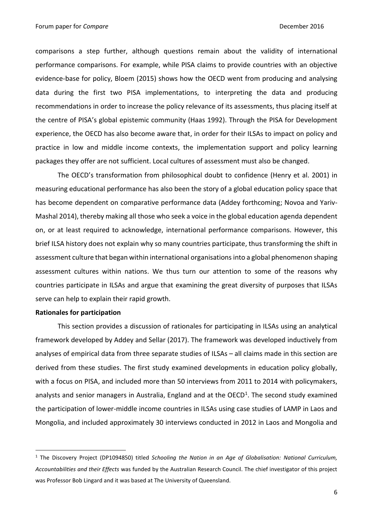comparisons a step further, although questions remain about the validity of international performance comparisons. For example, while PISA claims to provide countries with an objective evidence-base for policy, Bloem (2015) shows how the OECD went from producing and analysing data during the first two PISA implementations, to interpreting the data and producing recommendations in order to increase the policy relevance of its assessments, thus placing itself at the centre of PISA's global epistemic community (Haas 1992). Through the PISA for Development experience, the OECD has also become aware that, in order for their ILSAs to impact on policy and practice in low and middle income contexts, the implementation support and policy learning packages they offer are not sufficient. Local cultures of assessment must also be changed.

The OECD's transformation from philosophical doubt to confidence (Henry et al. 2001) in measuring educational performance has also been the story of a global education policy space that has become dependent on comparative performance data (Addey forthcoming; Novoa and Yariv-Mashal 2014), thereby making all those who seek a voice in the global education agenda dependent on, or at least required to acknowledge, international performance comparisons. However, this brief ILSA history does not explain why so many countries participate, thus transforming the shift in assessment culture that began within international organisationsinto a global phenomenon shaping assessment cultures within nations. We thus turn our attention to some of the reasons why countries participate in ILSAs and argue that examining the great diversity of purposes that ILSAs serve can help to explain their rapid growth.

## **Rationales for participation**

**.** 

This section provides a discussion of rationales for participating in ILSAs using an analytical framework developed by Addey and Sellar (2017). The framework was developed inductively from analyses of empirical data from three separate studies of ILSAs – all claims made in this section are derived from these studies. The first study examined developments in education policy globally, with a focus on PISA, and included more than 50 interviews from 2011 to 2014 with policymakers, analysts and senior managers in Australia, England and at the OECD<sup>1</sup>. The second study examined the participation of lower-middle income countries in ILSAs using case studies of LAMP in Laos and Mongolia, and included approximately 30 interviews conducted in 2012 in Laos and Mongolia and

<sup>1</sup> The Discovery Project (DP1094850) titled *Schooling the Nation in an Age of Globalisation: National Curriculum, Accountabilities and their Effects* was funded by the Australian Research Council. The chief investigator of this project was Professor Bob Lingard and it was based at The University of Queensland.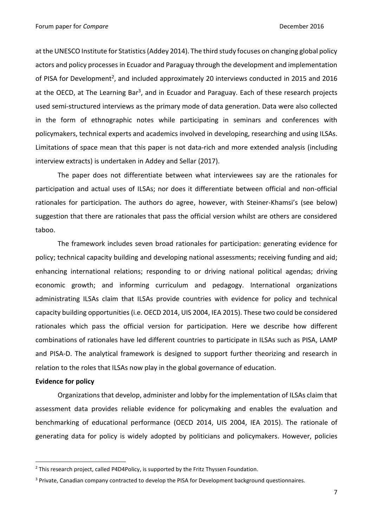at the UNESCO Institute for Statistics (Addey 2014). The third study focuses on changing global policy actors and policy processes in Ecuador and Paraguay through the development and implementation of PISA for Development<sup>2</sup>, and included approximately 20 interviews conducted in 2015 and 2016 at the OECD, at The Learning Bar<sup>3</sup>, and in Ecuador and Paraguay. Each of these research projects used semi-structured interviews as the primary mode of data generation. Data were also collected in the form of ethnographic notes while participating in seminars and conferences with policymakers, technical experts and academics involved in developing, researching and using ILSAs. Limitations of space mean that this paper is not data-rich and more extended analysis (including interview extracts) is undertaken in Addey and Sellar (2017).

The paper does not differentiate between what interviewees say are the rationales for participation and actual uses of ILSAs; nor does it differentiate between official and non-official rationales for participation. The authors do agree, however, with Steiner-Khamsi's (see below) suggestion that there are rationales that pass the official version whilst are others are considered taboo.

The framework includes seven broad rationales for participation: generating evidence for policy; technical capacity building and developing national assessments; receiving funding and aid; enhancing international relations; responding to or driving national political agendas; driving economic growth; and informing curriculum and pedagogy. International organizations administrating ILSAs claim that ILSAs provide countries with evidence for policy and technical capacity building opportunities (i.e. OECD 2014, UIS 2004, IEA 2015). These two could be considered rationales which pass the official version for participation. Here we describe how different combinations of rationales have led different countries to participate in ILSAs such as PISA, LAMP and PISA-D. The analytical framework is designed to support further theorizing and research in relation to the roles that ILSAs now play in the global governance of education.

## **Evidence for policy**

**.** 

Organizations that develop, administer and lobby for the implementation of ILSAs claim that assessment data provides reliable evidence for policymaking and enables the evaluation and benchmarking of educational performance (OECD 2014, UIS 2004, IEA 2015). The rationale of generating data for policy is widely adopted by politicians and policymakers. However, policies

<sup>&</sup>lt;sup>2</sup> This research project, called P4D4Policy, is supported by the Fritz Thyssen Foundation.

<sup>&</sup>lt;sup>3</sup> Private, Canadian company contracted to develop the PISA for Development background questionnaires.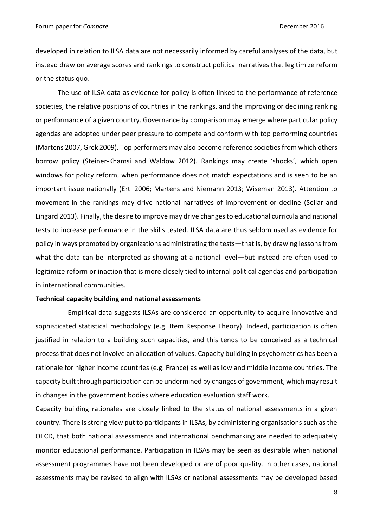developed in relation to ILSA data are not necessarily informed by careful analyses of the data, but instead draw on average scores and rankings to construct political narratives that legitimize reform or the status quo.

The use of ILSA data as evidence for policy is often linked to the performance of reference societies, the relative positions of countries in the rankings, and the improving or declining ranking or performance of a given country. Governance by comparison may emerge where particular policy agendas are adopted under peer pressure to compete and conform with top performing countries (Martens 2007, Grek 2009). Top performers may also become reference societies from which others borrow policy (Steiner-Khamsi and Waldow 2012). Rankings may create 'shocks', which open windows for policy reform, when performance does not match expectations and is seen to be an important issue nationally (Ertl 2006; Martens and Niemann 2013; Wiseman 2013). Attention to movement in the rankings may drive national narratives of improvement or decline (Sellar and Lingard 2013). Finally, the desire to improve may drive changes to educational curricula and national tests to increase performance in the skills tested. ILSA data are thus seldom used as evidence for policy in ways promoted by organizations administrating the tests—that is, by drawing lessons from what the data can be interpreted as showing at a national level—but instead are often used to legitimize reform or inaction that is more closely tied to internal political agendas and participation in international communities.

## **Technical capacity building and national assessments**

Empirical data suggests ILSAs are considered an opportunity to acquire innovative and sophisticated statistical methodology (e.g. Item Response Theory). Indeed, participation is often justified in relation to a building such capacities, and this tends to be conceived as a technical process that does not involve an allocation of values. Capacity building in psychometrics has been a rationale for higher income countries (e.g. France) as well as low and middle income countries. The capacity built through participation can be undermined by changes of government, which may result in changes in the government bodies where education evaluation staff work.

Capacity building rationales are closely linked to the status of national assessments in a given country. There is strong view put to participants in ILSAs, by administering organisations such as the OECD, that both national assessments and international benchmarking are needed to adequately monitor educational performance. Participation in ILSAs may be seen as desirable when national assessment programmes have not been developed or are of poor quality. In other cases, national assessments may be revised to align with ILSAs or national assessments may be developed based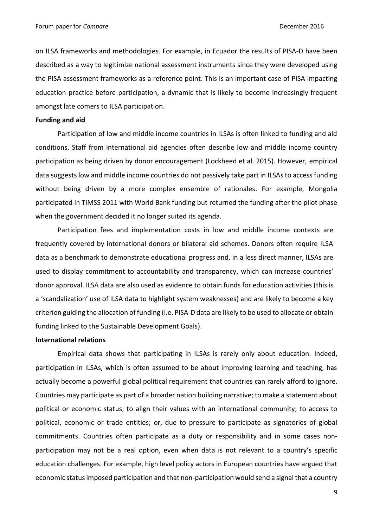on ILSA frameworks and methodologies. For example, in Ecuador the results of PISA-D have been described as a way to legitimize national assessment instruments since they were developed using the PISA assessment frameworks as a reference point. This is an important case of PISA impacting education practice before participation, a dynamic that is likely to become increasingly frequent amongst late comers to ILSA participation.

# **Funding and aid**

Participation of low and middle income countries in ILSAs is often linked to funding and aid conditions. Staff from international aid agencies often describe low and middle income country participation as being driven by donor encouragement (Lockheed et al. 2015). However, empirical data suggests low and middle income countries do not passively take part in ILSAs to access funding without being driven by a more complex ensemble of rationales. For example, Mongolia participated in TIMSS 2011 with World Bank funding but returned the funding after the pilot phase when the government decided it no longer suited its agenda.

Participation fees and implementation costs in low and middle income contexts are frequently covered by international donors or bilateral aid schemes. Donors often require ILSA data as a benchmark to demonstrate educational progress and, in a less direct manner, ILSAs are used to display commitment to accountability and transparency, which can increase countries' donor approval. ILSA data are also used as evidence to obtain funds for education activities (this is a 'scandalization' use of ILSA data to highlight system weaknesses) and are likely to become a key criterion guiding the allocation of funding (i.e. PISA-D data are likely to be used to allocate or obtain funding linked to the Sustainable Development Goals).

#### **International relations**

Empirical data shows that participating in ILSAs is rarely only about education. Indeed, participation in ILSAs, which is often assumed to be about improving learning and teaching, has actually become a powerful global political requirement that countries can rarely afford to ignore. Countries may participate as part of a broader nation building narrative; to make a statement about political or economic status; to align their values with an international community; to access to political, economic or trade entities; or, due to pressure to participate as signatories of global commitments. Countries often participate as a duty or responsibility and in some cases nonparticipation may not be a real option, even when data is not relevant to a country's specific education challenges. For example, high level policy actors in European countries have argued that economic status imposed participation and that non-participation would send a signal that a country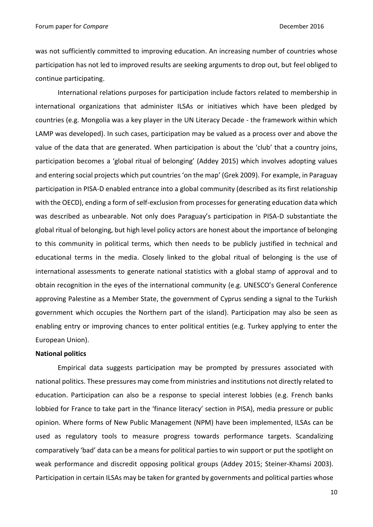was not sufficiently committed to improving education. An increasing number of countries whose participation has not led to improved results are seeking arguments to drop out, but feel obliged to continue participating.

International relations purposes for participation include factors related to membership in international organizations that administer ILSAs or initiatives which have been pledged by countries (e.g. Mongolia was a key player in the UN Literacy Decade - the framework within which LAMP was developed). In such cases, participation may be valued as a process over and above the value of the data that are generated. When participation is about the 'club' that a country joins, participation becomes a 'global ritual of belonging' (Addey 2015) which involves adopting values and entering social projects which put countries 'on the map' (Grek 2009). For example, in Paraguay participation in PISA-D enabled entrance into a global community (described as its first relationship with the OECD), ending a form of self-exclusion from processes for generating education data which was described as unbearable. Not only does Paraguay's participation in PISA-D substantiate the global ritual of belonging, but high level policy actors are honest about the importance of belonging to this community in political terms, which then needs to be publicly justified in technical and educational terms in the media. Closely linked to the global ritual of belonging is the use of international assessments to generate national statistics with a global stamp of approval and to obtain recognition in the eyes of the international community (e.g. UNESCO's General Conference approving Palestine as a Member State, the government of Cyprus sending a signal to the Turkish government which occupies the Northern part of the island). Participation may also be seen as enabling entry or improving chances to enter political entities (e.g. Turkey applying to enter the European Union).

# **National politics**

Empirical data suggests participation may be prompted by pressures associated with national politics. These pressures may come from ministries and institutions not directly related to education. Participation can also be a response to special interest lobbies (e.g. French banks lobbied for France to take part in the 'finance literacy' section in PISA), media pressure or public opinion. Where forms of New Public Management (NPM) have been implemented, ILSAs can be used as regulatory tools to measure progress towards performance targets. Scandalizing comparatively 'bad' data can be a means for political parties to win support or put the spotlight on weak performance and discredit opposing political groups (Addey 2015; Steiner-Khamsi 2003). Participation in certain ILSAs may be taken for granted by governments and political parties whose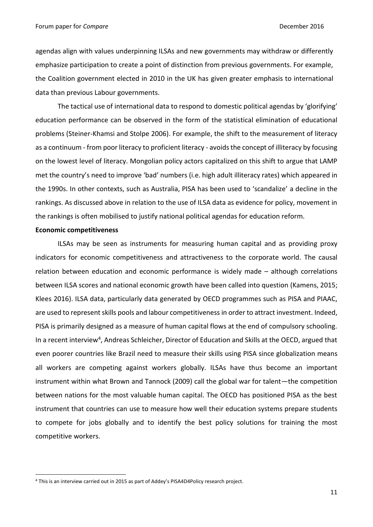agendas align with values underpinning ILSAs and new governments may withdraw or differently emphasize participation to create a point of distinction from previous governments. For example, the Coalition government elected in 2010 in the UK has given greater emphasis to international data than previous Labour governments.

The tactical use of international data to respond to domestic political agendas by 'glorifying' education performance can be observed in the form of the statistical elimination of educational problems (Steiner-Khamsi and Stolpe 2006). For example, the shift to the measurement of literacy as a continuum - from poor literacy to proficient literacy - avoids the concept of illiteracy by focusing on the lowest level of literacy. Mongolian policy actors capitalized on this shift to argue that LAMP met the country's need to improve 'bad' numbers (i.e. high adult illiteracy rates) which appeared in the 1990s. In other contexts, such as Australia, PISA has been used to 'scandalize' a decline in the rankings. As discussed above in relation to the use of ILSA data as evidence for policy, movement in the rankings is often mobilised to justify national political agendas for education reform.

#### **Economic competitiveness**

**.** 

ILSAs may be seen as instruments for measuring human capital and as providing proxy indicators for economic competitiveness and attractiveness to the corporate world. The causal relation between education and economic performance is widely made – although correlations between ILSA scores and national economic growth have been called into question (Kamens, 2015; Klees 2016). ILSA data, particularly data generated by OECD programmes such as PISA and PIAAC, are used to represent skills pools and labour competitiveness in order to attract investment. Indeed, PISA is primarily designed as a measure of human capital flows at the end of compulsory schooling. In a recent interview<sup>4</sup>, Andreas Schleicher, Director of Education and Skills at the OECD, argued that even poorer countries like Brazil need to measure their skills using PISA since globalization means all workers are competing against workers globally. ILSAs have thus become an important instrument within what Brown and Tannock (2009) call the global war for talent—the competition between nations for the most valuable human capital. The OECD has positioned PISA as the best instrument that countries can use to measure how well their education systems prepare students to compete for jobs globally and to identify the best policy solutions for training the most competitive workers.

<sup>4</sup> This is an interview carried out in 2015 as part of Addey's PISA4D4Policy research project.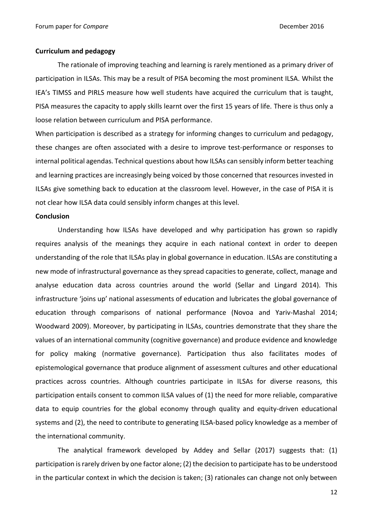## **Curriculum and pedagogy**

The rationale of improving teaching and learning is rarely mentioned as a primary driver of participation in ILSAs. This may be a result of PISA becoming the most prominent ILSA. Whilst the IEA's TIMSS and PIRLS measure how well students have acquired the curriculum that is taught, PISA measures the capacity to apply skills learnt over the first 15 years of life. There is thus only a loose relation between curriculum and PISA performance.

When participation is described as a strategy for informing changes to curriculum and pedagogy, these changes are often associated with a desire to improve test-performance or responses to internal political agendas. Technical questions about how ILSAs can sensibly inform better teaching and learning practices are increasingly being voiced by those concerned that resources invested in ILSAs give something back to education at the classroom level. However, in the case of PISA it is not clear how ILSA data could sensibly inform changes at this level.

#### **Conclusion**

Understanding how ILSAs have developed and why participation has grown so rapidly requires analysis of the meanings they acquire in each national context in order to deepen understanding of the role that ILSAs play in global governance in education. ILSAs are constituting a new mode of infrastructural governance as they spread capacities to generate, collect, manage and analyse education data across countries around the world (Sellar and Lingard 2014). This infrastructure 'joins up' national assessments of education and lubricates the global governance of education through comparisons of national performance (Novoa and Yariv-Mashal 2014; Woodward 2009). Moreover, by participating in ILSAs, countries demonstrate that they share the values of an international community (cognitive governance) and produce evidence and knowledge for policy making (normative governance). Participation thus also facilitates modes of epistemological governance that produce alignment of assessment cultures and other educational practices across countries. Although countries participate in ILSAs for diverse reasons, this participation entails consent to common ILSA values of (1) the need for more reliable, comparative data to equip countries for the global economy through quality and equity-driven educational systems and (2), the need to contribute to generating ILSA-based policy knowledge as a member of the international community.

The analytical framework developed by Addey and Sellar (2017) suggests that: (1) participation is rarely driven by one factor alone; (2) the decision to participate has to be understood in the particular context in which the decision is taken; (3) rationales can change not only between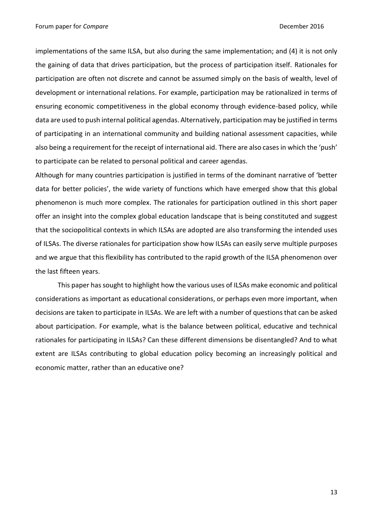implementations of the same ILSA, but also during the same implementation; and (4) it is not only the gaining of data that drives participation, but the process of participation itself. Rationales for participation are often not discrete and cannot be assumed simply on the basis of wealth, level of development or international relations. For example, participation may be rationalized in terms of ensuring economic competitiveness in the global economy through evidence-based policy, while data are used to push internal political agendas. Alternatively, participation may be justified in terms of participating in an international community and building national assessment capacities, while also being a requirement for the receipt of international aid. There are also cases in which the 'push' to participate can be related to personal political and career agendas.

Although for many countries participation is justified in terms of the dominant narrative of 'better data for better policies', the wide variety of functions which have emerged show that this global phenomenon is much more complex. The rationales for participation outlined in this short paper offer an insight into the complex global education landscape that is being constituted and suggest that the sociopolitical contexts in which ILSAs are adopted are also transforming the intended uses of ILSAs. The diverse rationales for participation show how ILSAs can easily serve multiple purposes and we argue that this flexibility has contributed to the rapid growth of the ILSA phenomenon over the last fifteen years.

This paper has sought to highlight how the various uses of ILSAs make economic and political considerations as important as educational considerations, or perhaps even more important, when decisions are taken to participate in ILSAs. We are left with a number of questions that can be asked about participation. For example, what is the balance between political, educative and technical rationales for participating in ILSAs? Can these different dimensions be disentangled? And to what extent are ILSAs contributing to global education policy becoming an increasingly political and economic matter, rather than an educative one?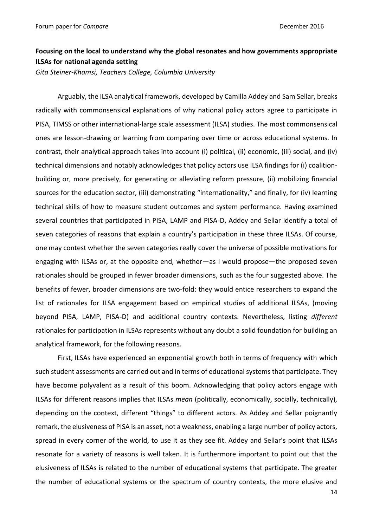# **Focusing on the local to understand why the global resonates and how governments appropriate ILSAs for national agenda setting**

*Gita Steiner-Khamsi, Teachers College, Columbia University*

Arguably, the ILSA analytical framework, developed by Camilla Addey and Sam Sellar, breaks radically with commonsensical explanations of why national policy actors agree to participate in PISA, TIMSS or other international-large scale assessment (ILSA) studies. The most commonsensical ones are lesson-drawing or learning from comparing over time or across educational systems. In contrast, their analytical approach takes into account (i) political, (ii) economic, (iii) social, and (iv) technical dimensions and notably acknowledges that policy actors use ILSA findings for (i) coalitionbuilding or, more precisely, for generating or alleviating reform pressure, (ii) mobilizing financial sources for the education sector, (iii) demonstrating "internationality," and finally, for (iv) learning technical skills of how to measure student outcomes and system performance. Having examined several countries that participated in PISA, LAMP and PISA-D, Addey and Sellar identify a total of seven categories of reasons that explain a country's participation in these three ILSAs. Of course, one may contest whether the seven categories really cover the universe of possible motivations for engaging with ILSAs or, at the opposite end, whether—as I would propose—the proposed seven rationales should be grouped in fewer broader dimensions, such as the four suggested above. The benefits of fewer, broader dimensions are two-fold: they would entice researchers to expand the list of rationales for ILSA engagement based on empirical studies of additional ILSAs, (moving beyond PISA, LAMP, PISA-D) and additional country contexts. Nevertheless, listing *different*  rationales for participation in ILSAs represents without any doubt a solid foundation for building an analytical framework, for the following reasons.

First, ILSAs have experienced an exponential growth both in terms of frequency with which such student assessments are carried out and in terms of educational systems that participate. They have become polyvalent as a result of this boom. Acknowledging that policy actors engage with ILSAs for different reasons implies that ILSAs *mean* (politically, economically, socially, technically), depending on the context, different "things" to different actors. As Addey and Sellar poignantly remark, the elusiveness of PISA is an asset, not a weakness, enabling a large number of policy actors, spread in every corner of the world, to use it as they see fit. Addey and Sellar's point that ILSAs resonate for a variety of reasons is well taken. It is furthermore important to point out that the elusiveness of ILSAs is related to the number of educational systems that participate. The greater the number of educational systems or the spectrum of country contexts, the more elusive and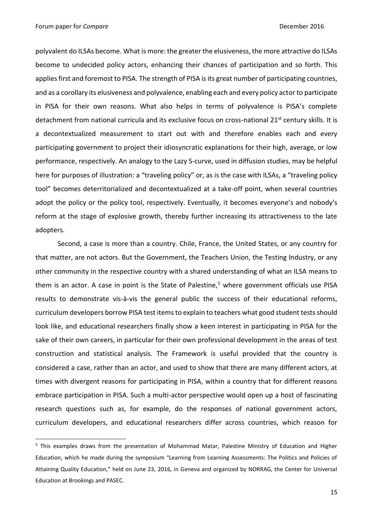1

polyvalent do ILSAs become. What is more: the greater the elusiveness, the more attractive do ILSAs become to undecided policy actors, enhancing their chances of participation and so forth. This applies first and foremost to PISA. The strength of PISA is its great number of participating countries, and as a corollary its elusiveness and polyvalence, enabling each and every policy actor to participate in PISA for their own reasons. What also helps in terms of polyvalence is PISA's complete detachment from national curricula and its exclusive focus on cross-national 21<sup>st</sup> century skills. It is a decontextualized measurement to start out with and therefore enables each and every participating government to project their idiosyncratic explanations for their high, average, or low performance, respectively. An analogy to the Lazy S-curve, used in diffusion studies, may be helpful here for purposes of illustration: a "traveling policy" or, as is the case with ILSAs, a "traveling policy tool" becomes deterritorialized and decontextualized at a take-off point, when several countries adopt the policy or the policy tool, respectively. Eventually, it becomes everyone's and nobody's reform at the stage of explosive growth, thereby further increasing its attractiveness to the late adopters.

Second, a case is more than a country. Chile, France, the United States, or any country for that matter, are not actors. But the Government, the Teachers Union, the Testing Industry, or any other community in the respective country with a shared understanding of what an ILSA means to them is an actor. A case in point is the State of Palestine, $5$  where government officials use PISA results to demonstrate vis-à-vis the general public the success of their educational reforms, curriculum developers borrow PISA test items to explain to teachers what good student tests should look like, and educational researchers finally show a keen interest in participating in PISA for the sake of their own careers, in particular for their own professional development in the areas of test construction and statistical analysis. The Framework is useful provided that the country is considered a case, rather than an actor, and used to show that there are many different actors, at times with divergent reasons for participating in PISA, within a country that for different reasons embrace participation in PISA. Such a multi-actor perspective would open up a host of fascinating research questions such as, for example, do the responses of national government actors, curriculum developers, and educational researchers differ across countries, which reason for

<sup>&</sup>lt;sup>5</sup> This examples draws from the presentation of Mohammad Matar, Palestine Ministry of Education and Higher Education, which he made during the symposium "Learning from Learning Assessments: The Politics and Policies of Attaining Quality Education," held on June 23, 2016, in Geneva and organized by NORRAG, the Center for Universal Education at Brookings and PASEC.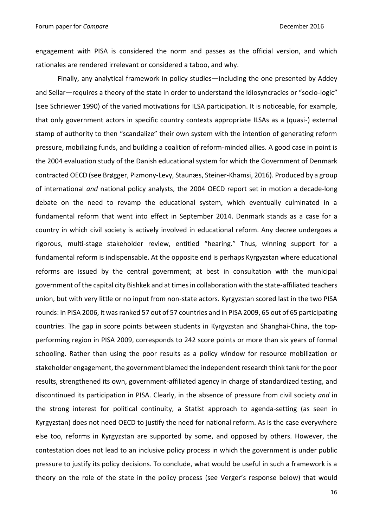engagement with PISA is considered the norm and passes as the official version, and which rationales are rendered irrelevant or considered a taboo, and why.

Finally, any analytical framework in policy studies—including the one presented by Addey and Sellar—requires a theory of the state in order to understand the idiosyncracies or "socio-logic" (see Schriewer 1990) of the varied motivations for ILSA participation. It is noticeable, for example, that only government actors in specific country contexts appropriate ILSAs as a (quasi-) external stamp of authority to then "scandalize" their own system with the intention of generating reform pressure, mobilizing funds, and building a coalition of reform-minded allies. A good case in point is the 2004 evaluation study of the Danish educational system for which the Government of Denmark contracted OECD (see Brøgger, Pizmony-Levy, Staunæs, Steiner-Khamsi, 2016). Produced by a group of international *and* national policy analysts, the 2004 OECD report set in motion a decade-long debate on the need to revamp the educational system, which eventually culminated in a fundamental reform that went into effect in September 2014. Denmark stands as a case for a country in which civil society is actively involved in educational reform. Any decree undergoes a rigorous, multi-stage stakeholder review, entitled "hearing." Thus, winning support for a fundamental reform is indispensable. At the opposite end is perhaps Kyrgyzstan where educational reforms are issued by the central government; at best in consultation with the municipal government of the capital city Bishkek and at times in collaboration with the state-affiliated teachers union, but with very little or no input from non-state actors. Kyrgyzstan scored last in the two PISA rounds: in PISA 2006, it was ranked 57 out of 57 countries and in PISA 2009, 65 out of 65 participating countries. The gap in score points between students in Kyrgyzstan and Shanghai-China, the topperforming region in PISA 2009, corresponds to 242 score points or more than six years of formal schooling. Rather than using the poor results as a policy window for resource mobilization or stakeholder engagement, the government blamed the independent research think tank for the poor results, strengthened its own, government-affiliated agency in charge of standardized testing, and discontinued its participation in PISA. Clearly, in the absence of pressure from civil society *and* in the strong interest for political continuity, a Statist approach to agenda-setting (as seen in Kyrgyzstan) does not need OECD to justify the need for national reform. As is the case everywhere else too, reforms in Kyrgyzstan are supported by some, and opposed by others. However, the contestation does not lead to an inclusive policy process in which the government is under public pressure to justify its policy decisions. To conclude, what would be useful in such a framework is a theory on the role of the state in the policy process (see Verger's response below) that would

16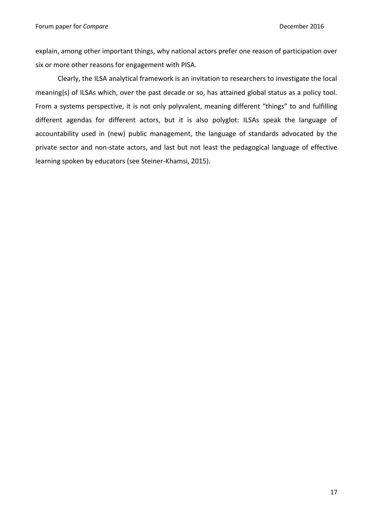explain, among other important things, why national actors prefer one reason of participation over six or more other reasons for engagement with PISA.

Clearly, the ILSA analytical framework is an invitation to researchers to investigate the local meaning(s) of ILSAs which, over the past decade or so, has attained global status as a policy tool. From a systems perspective, it is not only polyvalent, meaning different "things" to and fulfilling different agendas for different actors, but it is also polyglot: ILSAs speak the language of accountability used in (new) public management, the language of standards advocated by the private sector and non-state actors, and last but not least the pedagogical language of effective learning spoken by educators (see Steiner-Khamsi, 2015).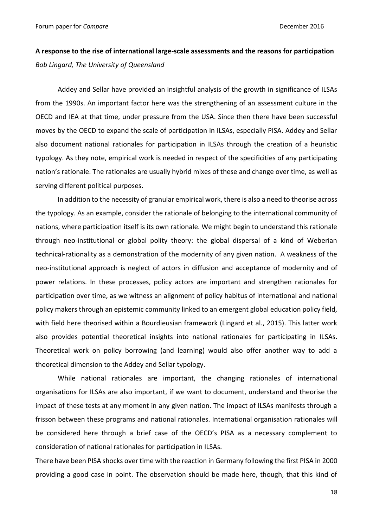# **A response to the rise of international large-scale assessments and the reasons for participation** *Bob Lingard, The University of Queensland*

Addey and Sellar have provided an insightful analysis of the growth in significance of ILSAs from the 1990s. An important factor here was the strengthening of an assessment culture in the OECD and IEA at that time, under pressure from the USA. Since then there have been successful moves by the OECD to expand the scale of participation in ILSAs, especially PISA. Addey and Sellar also document national rationales for participation in ILSAs through the creation of a heuristic typology. As they note, empirical work is needed in respect of the specificities of any participating nation's rationale. The rationales are usually hybrid mixes of these and change over time, as well as serving different political purposes.

In addition to the necessity of granular empirical work, there is also a need to theorise across the typology. As an example, consider the rationale of belonging to the international community of nations, where participation itself is its own rationale. We might begin to understand this rationale through neo-institutional or global polity theory: the global dispersal of a kind of Weberian technical-rationality as a demonstration of the modernity of any given nation. A weakness of the neo-institutional approach is neglect of actors in diffusion and acceptance of modernity and of power relations. In these processes, policy actors are important and strengthen rationales for participation over time, as we witness an alignment of policy habitus of international and national policy makers through an epistemic community linked to an emergent global education policy field, with field here theorised within a Bourdieusian framework (Lingard et al., 2015). This latter work also provides potential theoretical insights into national rationales for participating in ILSAs. Theoretical work on policy borrowing (and learning) would also offer another way to add a theoretical dimension to the Addey and Sellar typology.

While national rationales are important, the changing rationales of international organisations for ILSAs are also important, if we want to document, understand and theorise the impact of these tests at any moment in any given nation. The impact of ILSAs manifests through a frisson between these programs and national rationales. International organisation rationales will be considered here through a brief case of the OECD's PISA as a necessary complement to consideration of national rationales for participation in ILSAs.

There have been PISA shocks over time with the reaction in Germany following the first PISA in 2000 providing a good case in point. The observation should be made here, though, that this kind of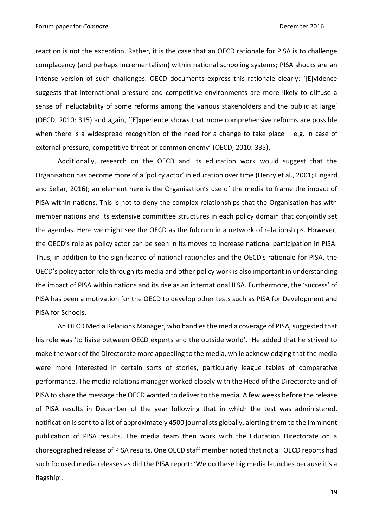reaction is not the exception. Rather, it is the case that an OECD rationale for PISA is to challenge complacency (and perhaps incrementalism) within national schooling systems; PISA shocks are an intense version of such challenges. OECD documents express this rationale clearly: '[E]vidence suggests that international pressure and competitive environments are more likely to diffuse a sense of ineluctability of some reforms among the various stakeholders and the public at large' (OECD, 2010: 315) and again, '[E]xperience shows that more comprehensive reforms are possible when there is a widespread recognition of the need for a change to take place  $-$  e.g. in case of external pressure, competitive threat or common enemy' (OECD, 2010: 335).

Additionally, research on the OECD and its education work would suggest that the Organisation has become more of a 'policy actor' in education over time (Henry et al., 2001; Lingard and Sellar, 2016); an element here is the Organisation's use of the media to frame the impact of PISA within nations. This is not to deny the complex relationships that the Organisation has with member nations and its extensive committee structures in each policy domain that conjointly set the agendas. Here we might see the OECD as the fulcrum in a network of relationships. However, the OECD's role as policy actor can be seen in its moves to increase national participation in PISA. Thus, in addition to the significance of national rationales and the OECD's rationale for PISA, the OECD's policy actor role through its media and other policy work is also important in understanding the impact of PISA within nations and its rise as an international ILSA. Furthermore, the 'success' of PISA has been a motivation for the OECD to develop other tests such as PISA for Development and PISA for Schools.

An OECD Media Relations Manager, who handles the media coverage of PISA, suggested that his role was 'to liaise between OECD experts and the outside world'. He added that he strived to make the work of the Directorate more appealing to the media, while acknowledging that the media were more interested in certain sorts of stories, particularly league tables of comparative performance. The media relations manager worked closely with the Head of the Directorate and of PISA to share the message the OECD wanted to deliver to the media. A few weeks before the release of PISA results in December of the year following that in which the test was administered, notification is sent to a list of approximately 4500 journalists globally, alerting them to the imminent publication of PISA results. The media team then work with the Education Directorate on a choreographed release of PISA results. One OECD staff member noted that not all OECD reports had such focused media releases as did the PISA report: 'We do these big media launches because it's a flagship'.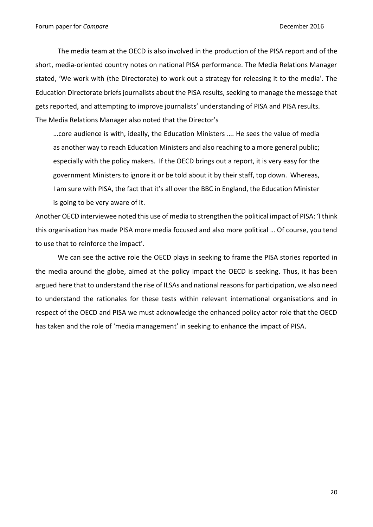The media team at the OECD is also involved in the production of the PISA report and of the short, media-oriented country notes on national PISA performance. The Media Relations Manager stated, 'We work with (the Directorate) to work out a strategy for releasing it to the media'. The Education Directorate briefs journalists about the PISA results, seeking to manage the message that gets reported, and attempting to improve journalists' understanding of PISA and PISA results. The Media Relations Manager also noted that the Director's

…core audience is with, ideally, the Education Ministers …. He sees the value of media as another way to reach Education Ministers and also reaching to a more general public; especially with the policy makers. If the OECD brings out a report, it is very easy for the government Ministers to ignore it or be told about it by their staff, top down. Whereas, I am sure with PISA, the fact that it's all over the BBC in England, the Education Minister is going to be very aware of it.

Another OECD interviewee noted this use of media to strengthen the political impact of PISA: 'I think this organisation has made PISA more media focused and also more political … Of course, you tend to use that to reinforce the impact'.

We can see the active role the OECD plays in seeking to frame the PISA stories reported in the media around the globe, aimed at the policy impact the OECD is seeking. Thus, it has been argued here that to understand the rise of ILSAs and national reasons for participation, we also need to understand the rationales for these tests within relevant international organisations and in respect of the OECD and PISA we must acknowledge the enhanced policy actor role that the OECD has taken and the role of 'media management' in seeking to enhance the impact of PISA.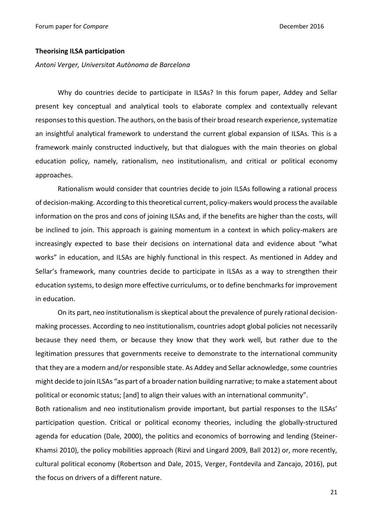# **Theorising ILSA participation**

*Antoni Verger, Universitat Autònoma de Barcelona*

Why do countries decide to participate in ILSAs? In this forum paper, Addey and Sellar present key conceptual and analytical tools to elaborate complex and contextually relevant responses to this question. The authors, on the basis of their broad research experience, systematize an insightful analytical framework to understand the current global expansion of ILSAs. This is a framework mainly constructed inductively, but that dialogues with the main theories on global education policy, namely, rationalism, neo institutionalism, and critical or political economy approaches.

Rationalism would consider that countries decide to join ILSAs following a rational process of decision-making. According to this theoretical current, policy-makers would process the available information on the pros and cons of joining ILSAs and, if the benefits are higher than the costs, will be inclined to join. This approach is gaining momentum in a context in which policy-makers are increasingly expected to base their decisions on international data and evidence about "what works" in education, and ILSAs are highly functional in this respect. As mentioned in Addey and Sellar's framework, many countries decide to participate in ILSAs as a way to strengthen their education systems, to design more effective curriculums, or to define benchmarks for improvement in education.

On its part, neo institutionalism is skeptical about the prevalence of purely rational decisionmaking processes. According to neo institutionalism, countries adopt global policies not necessarily because they need them, or because they know that they work well, but rather due to the legitimation pressures that governments receive to demonstrate to the international community that they are a modern and/or responsible state. As Addey and Sellar acknowledge, some countries might decide to join ILSAs "as part of a broader nation building narrative; to make a statement about political or economic status; [and] to align their values with an international community".

Both rationalism and neo institutionalism provide important, but partial responses to the ILSAs' participation question. Critical or political economy theories, including the globally-structured agenda for education (Dale, 2000), the politics and economics of borrowing and lending (Steiner-Khamsi 2010), the policy mobilities approach (Rizvi and Lingard 2009, Ball 2012) or, more recently, cultural political economy (Robertson and Dale, 2015, Verger, Fontdevila and Zancajo, 2016), put the focus on drivers of a different nature.

21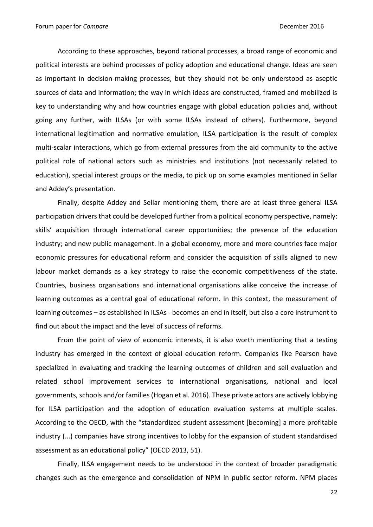According to these approaches, beyond rational processes, a broad range of economic and political interests are behind processes of policy adoption and educational change. Ideas are seen as important in decision-making processes, but they should not be only understood as aseptic sources of data and information; the way in which ideas are constructed, framed and mobilized is key to understanding why and how countries engage with global education policies and, without going any further, with ILSAs (or with some ILSAs instead of others). Furthermore, beyond international legitimation and normative emulation, ILSA participation is the result of complex multi-scalar interactions, which go from external pressures from the aid community to the active political role of national actors such as ministries and institutions (not necessarily related to education), special interest groups or the media, to pick up on some examples mentioned in Sellar and Addey's presentation.

Finally, despite Addey and Sellar mentioning them, there are at least three general ILSA participation drivers that could be developed further from a political economy perspective, namely: skills' acquisition through international career opportunities; the presence of the education industry; and new public management. In a global economy, more and more countries face major economic pressures for educational reform and consider the acquisition of skills aligned to new labour market demands as a key strategy to raise the economic competitiveness of the state. Countries, business organisations and international organisations alike conceive the increase of learning outcomes as a central goal of educational reform. In this context, the measurement of learning outcomes – as established in ILSAs - becomes an end in itself, but also a core instrument to find out about the impact and the level of success of reforms.

From the point of view of economic interests, it is also worth mentioning that a testing industry has emerged in the context of global education reform. Companies like Pearson have specialized in evaluating and tracking the learning outcomes of children and sell evaluation and related school improvement services to international organisations, national and local governments, schools and/or families (Hogan et al. 2016). These private actors are actively lobbying for ILSA participation and the adoption of education evaluation systems at multiple scales. According to the OECD, with the "standardized student assessment [becoming] a more profitable industry (...) companies have strong incentives to lobby for the expansion of student standardised assessment as an educational policy" (OECD 2013, 51).

Finally, ILSA engagement needs to be understood in the context of broader paradigmatic changes such as the emergence and consolidation of NPM in public sector reform. NPM places

22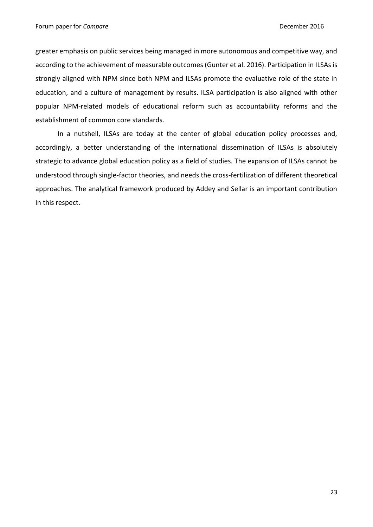greater emphasis on public services being managed in more autonomous and competitive way, and according to the achievement of measurable outcomes (Gunter et al. 2016). Participation in ILSAs is strongly aligned with NPM since both NPM and ILSAs promote the evaluative role of the state in education, and a culture of management by results. ILSA participation is also aligned with other popular NPM-related models of educational reform such as accountability reforms and the establishment of common core standards.

In a nutshell, ILSAs are today at the center of global education policy processes and, accordingly, a better understanding of the international dissemination of ILSAs is absolutely strategic to advance global education policy as a field of studies. The expansion of ILSAs cannot be understood through single-factor theories, and needs the cross-fertilization of different theoretical approaches. The analytical framework produced by Addey and Sellar is an important contribution in this respect.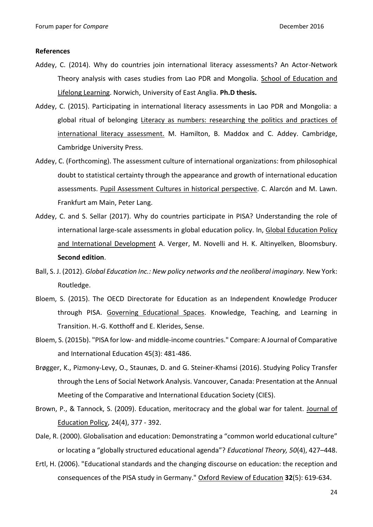#### **References**

- Addey, C. (2014). Why do countries join international literacy assessments? An Actor-Network Theory analysis with cases studies from Lao PDR and Mongolia. School of Education and Lifelong Learning. Norwich, University of East Anglia. **Ph.D thesis.**
- Addey, C. (2015). Participating in international literacy assessments in Lao PDR and Mongolia: a global ritual of belonging Literacy as numbers: researching the politics and practices of international literacy assessment. M. Hamilton, B. Maddox and C. Addey. Cambridge, Cambridge University Press.
- Addey, C. (Forthcoming). The assessment culture of international organizations: from philosophical doubt to statistical certainty through the appearance and growth of international education assessments. Pupil Assessment Cultures in historical perspective. C. Alarcón and M. Lawn. Frankfurt am Main, Peter Lang.
- Addey, C. and S. Sellar (2017). Why do countries participate in PISA? Understanding the role of international large-scale assessments in global education policy. In, Global Education Policy and International Development A. Verger, M. Novelli and H. K. Altinyelken, Bloomsbury. **Second edition**.
- Ball, S. J. (2012). *Global Education Inc.: New policy networks and the neoliberal imaginary.* New York: Routledge.
- Bloem, S. (2015). The OECD Directorate for Education as an Independent Knowledge Producer through PISA. Governing Educational Spaces. Knowledge, Teaching, and Learning in Transition. H.-G. Kotthoff and E. Klerides, Sense.
- Bloem, S. (2015b). "PISA for low- and middle-income countries." Compare: A Journal of Comparative and International Education 45(3): 481-486.
- Brøgger, K., Pizmony-Levy, O., Staunæs, D. and G. Steiner-Khamsi (2016). Studying Policy Transfer through the Lens of Social Network Analysis. Vancouver, Canada: Presentation at the Annual Meeting of the Comparative and International Education Society (CIES).
- Brown, P., & Tannock, S. (2009). Education, meritocracy and the global war for talent. Journal of Education Policy, 24(4), 377 - 392.
- Dale, R. (2000). Globalisation and education: Demonstrating a "common world educational culture" or locating a "globally structured educational agenda"? *Educational Theory, 50*(4), 427–448.
- Ertl, H. (2006). "Educational standards and the changing discourse on education: the reception and consequences of the PISA study in Germany." Oxford Review of Education **32**(5): 619-634.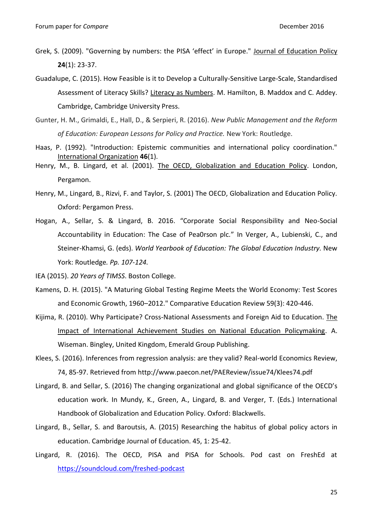- Grek, S. (2009). "Governing by numbers: the PISA 'effect' in Europe." Journal of Education Policy **24**(1): 23-37.
- Guadalupe, C. (2015). How Feasible is it to Develop a Culturally-Sensitive Large-Scale, Standardised Assessment of Literacy Skills? Literacy as Numbers. M. Hamilton, B. Maddox and C. Addey. Cambridge, Cambridge University Press.
- Gunter, H. M., Grimaldi, E., Hall, D., & Serpieri, R. (2016). *New Public Management and the Reform of Education: European Lessons for Policy and Practice.* New York: Routledge.
- Haas, P. (1992). "Introduction: Epistemic communities and international policy coordination." International Organization **46**(1).
- Henry, M., B. Lingard, et al. (2001). The OECD, Globalization and Education Policy. London, Pergamon.
- Henry, M., Lingard, B., Rizvi, F. and Taylor, S. (2001) The OECD, Globalization and Education Policy. Oxford: Pergamon Press.
- Hogan, A., Sellar, S. & Lingard, B. 2016. "Corporate Social Responsibility and Neo-Social Accountability in Education: The Case of Pea0rson plc*.*" In Verger, A., Lubienski, C., and Steiner-Khamsi, G. (eds). *World Yearbook of Education: The Global Education Industry.* New York: Routledge*. Pp. 107-124.*

IEA (2015). *20 Years of TIMSS*. Boston College.

- Kamens, D. H. (2015). "A Maturing Global Testing Regime Meets the World Economy: Test Scores and Economic Growth, 1960–2012." Comparative Education Review 59(3): 420-446.
- Kijima, R. (2010). Why Participate? Cross-National Assessments and Foreign Aid to Education. The Impact of International Achievement Studies on National Education Policymaking. A. Wiseman. Bingley, United Kingdom, Emerald Group Publishing.
- Klees, S. (2016). Inferences from regression analysis: are they valid? Real-world Economics Review, 74, 85-97. Retrieved from http://www.paecon.net/PAEReview/issue74/Klees74.pdf
- Lingard, B. and Sellar, S. (2016) The changing organizational and global significance of the OECD's education work. In Mundy, K., Green, A., Lingard, B. and Verger, T. (Eds.) International Handbook of Globalization and Education Policy. Oxford: Blackwells.
- Lingard, B., Sellar, S. and Baroutsis, A. (2015) Researching the habitus of global policy actors in education. Cambridge Journal of Education. 45, 1: 25-42.
- Lingard, R. (2016). The OECD, PISA and PISA for Schools. Pod cast on FreshEd at <https://soundcloud.com/freshed-podcast>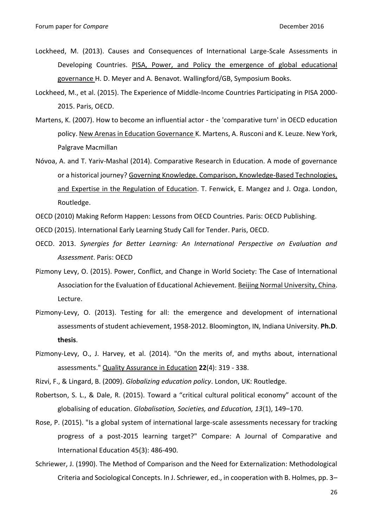- Lockheed, M. (2013). Causes and Consequences of International Large-Scale Assessments in Developing Countries. PISA, Power, and Policy the emergence of global educational governance H. D. Meyer and A. Benavot. Wallingford/GB, Symposium Books.
- Lockheed, M., et al. (2015). The Experience of Middle-Income Countries Participating in PISA 2000- 2015. Paris, OECD.
- Martens, K. (2007). How to become an influential actor the 'comparative turn' in OECD education policy. New Arenas in Education Governance K. Martens, A. Rusconi and K. Leuze. New York, Palgrave Macmillan
- Nóvoa, A. and T. Yariv-Mashal (2014). Comparative Research in Education. A mode of governance or a historical journey? Governing Knowledge. Comparison, Knowledge-Based Technologies, and Expertise in the Regulation of Education. T. Fenwick, E. Mangez and J. Ozga. London, Routledge.
- OECD (2010) Making Reform Happen: Lessons from OECD Countries. Paris: OECD Publishing.
- OECD (2015). International Early Learning Study Call for Tender. Paris, OECD.
- OECD. 2013. *Synergies for Better Learning: An International Perspective on Evaluation and Assessment*. Paris: OECD
- Pizmony Levy, O. (2015). Power, Conflict, and Change in World Society: The Case of International Association for the Evaluation of Educational Achievement. Beijing Normal University, China. Lecture.
- Pizmony-Levy, O. (2013). Testing for all: the emergence and development of international assessments of student achievement, 1958-2012. Bloomington, IN, Indiana University. **Ph.D**. **thesis**.
- Pizmony-Levy, O., J. Harvey, et al. (2014). "On the merits of, and myths about, international assessments." Quality Assurance in Education **22**(4): 319 - 338.

Rizvi, F., & Lingard, B. (2009). *Globalizing education policy*. London, UK: Routledge.

- Robertson, S. L., & Dale, R. (2015). Toward a "critical cultural political economy" account of the globalising of education. *Globalisation, Societies, and Education, 13*(1), 149–170.
- Rose, P. (2015). "Is a global system of international large-scale assessments necessary for tracking progress of a post-2015 learning target?" Compare: A Journal of Comparative and International Education 45(3): 486-490.
- Schriewer, J. (1990). The Method of Comparison and the Need for Externalization: Methodological Criteria and Sociological Concepts. In J. Schriewer, ed., in cooperation with B. Holmes, pp. 3–